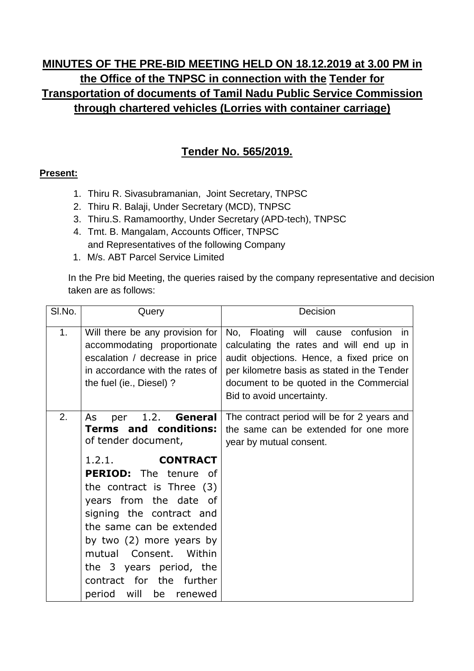## **MINUTES OF THE PRE-BID MEETING HELD ON 18.12.2019 at 3.00 PM in the Office of the TNPSC in connection with the Tender for Transportation of documents of Tamil Nadu Public Service Commission through chartered vehicles (Lorries with container carriage)**

## **Tender No. 565/2019.**

## **Present:**

- 1. Thiru R. Sivasubramanian, Joint Secretary, TNPSC
- 2. Thiru R. Balaji, Under Secretary (MCD), TNPSC
- 3. Thiru.S. Ramamoorthy, Under Secretary (APD-tech), TNPSC
- 4. Tmt. B. Mangalam, Accounts Officer, TNPSC and Representatives of the following Company
- 1. M/s. ABT Parcel Service Limited

In the Pre bid Meeting, the queries raised by the company representative and decision taken are as follows:

| SI.No. | Query                                                                                                                                                                                                                                                                                                                                                                                                  | Decision                                                                                                                                                                                                                                                |
|--------|--------------------------------------------------------------------------------------------------------------------------------------------------------------------------------------------------------------------------------------------------------------------------------------------------------------------------------------------------------------------------------------------------------|---------------------------------------------------------------------------------------------------------------------------------------------------------------------------------------------------------------------------------------------------------|
| 1.     | Will there be any provision for<br>accommodating proportionate<br>escalation / decrease in price<br>in accordance with the rates of<br>the fuel (ie., Diesel) ?                                                                                                                                                                                                                                        | No, Floating will cause confusion<br>in<br>calculating the rates and will end up in<br>audit objections. Hence, a fixed price on<br>per kilometre basis as stated in the Tender<br>document to be quoted in the Commercial<br>Bid to avoid uncertainty. |
| 2.     | 1.2. General<br>As<br>per<br><b>Terms and conditions:</b><br>of tender document,<br><b>CONTRACT</b><br>1.2.1.<br><b>PERIOD:</b> The tenure of<br>the contract is Three (3)<br>years from the date of<br>signing the contract and<br>the same can be extended<br>by two (2) more years by<br>mutual Consent. Within<br>the 3 years period, the<br>contract for the further<br>period will<br>be renewed | The contract period will be for 2 years and<br>the same can be extended for one more<br>year by mutual consent.                                                                                                                                         |